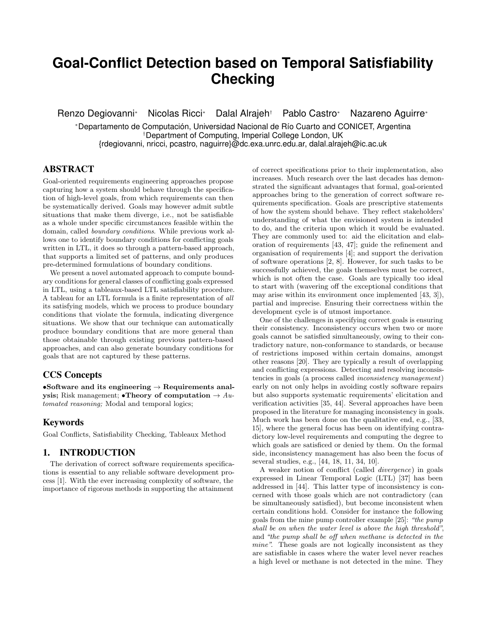# **Goal-Conflict Detection based on Temporal Satisfiability Checking**

Renzo Degiovanni<sup>∗</sup> Nicolas Ricci<sup>∗</sup> Dalal Alrajeh† Pablo Castro<sup>∗</sup> Nazareno Aguirre<sup>∗</sup>

<sup>∗</sup>Departamento de Computación, Universidad Nacional de Río Cuarto and CONICET, Argentina †Department of Computing, Imperial College London, UK {rdegiovanni, nricci, pcastro, naguirre}@dc.exa.unrc.edu.ar, dalal.alrajeh@ic.ac.uk

# ABSTRACT

Goal-oriented requirements engineering approaches propose capturing how a system should behave through the specification of high-level goals, from which requirements can then be systematically derived. Goals may however admit subtle situations that make them diverge, i.e., not be satisfiable as a whole under specific circumstances feasible within the domain, called boundary conditions. While previous work allows one to identify boundary conditions for conflicting goals written in LTL, it does so through a pattern-based approach, that supports a limited set of patterns, and only produces pre-determined formulations of boundary conditions.

We present a novel automated approach to compute boundary conditions for general classes of conflicting goals expressed in LTL, using a tableaux-based LTL satisfiability procedure. A tableau for an LTL formula is a finite representation of all its satisfying models, which we process to produce boundary conditions that violate the formula, indicating divergence situations. We show that our technique can automatically produce boundary conditions that are more general than those obtainable through existing previous pattern-based approaches, and can also generate boundary conditions for goals that are not captured by these patterns.

# CCS Concepts

•Software and its engineering  $\rightarrow$  Requirements anal**ysis;** Risk management; •Theory of computation  $\rightarrow Au$ tomated reasoning; Modal and temporal logics;

## Keywords

Goal Conflicts, Satisfiability Checking, Tableaux Method

## 1. INTRODUCTION

The derivation of correct software requirements specifications is essential to any reliable software development process [1]. With the ever increasing complexity of software, the importance of rigorous methods in supporting the attainment

of correct specifications prior to their implementation, also increases. Much research over the last decades has demonstrated the significant advantages that formal, goal-oriented approaches bring to the generation of correct software requirements specification. Goals are prescriptive statements of how the system should behave. They reflect stakeholders' understanding of what the envisioned system is intended to do, and the criteria upon which it would be evaluated. They are commonly used to: aid the elicitation and elaboration of requirements [43, 47]; guide the refinement and organisation of requirements [4]; and support the derivation of software operations [2, 8]. However, for such tasks to be successfully achieved, the goals themselves must be correct, which is not often the case. Goals are typically too ideal to start with (wavering off the exceptional conditions that may arise within its environment once implemented [43, 3]), partial and imprecise. Ensuring their correctness within the development cycle is of utmost importance.

One of the challenges in specifying correct goals is ensuring their consistency. Inconsistency occurs when two or more goals cannot be satisfied simultaneously, owing to their contradictory nature, non-conformance to standards, or because of restrictions imposed within certain domains, amongst other reasons [20]. They are typically a result of overlapping and conflicting expressions. Detecting and resolving inconsistencies in goals (a process called inconsistency management) early on not only helps in avoiding costly software repairs but also supports systematic requirements' elicitation and verification activities [35, 44]. Several approaches have been proposed in the literature for managing inconsistency in goals. Much work has been done on the qualitative end, e.g., [33, 15], where the general focus has been on identifying contradictory low-level requirements and computing the degree to which goals are satisficed or denied by them. On the formal side, inconsistency management has also been the focus of several studies, e.g., [44, 18, 11, 34, 10].

A weaker notion of conflict (called divergence) in goals expressed in Linear Temporal Logic (LTL) [37] has been addressed in [44]. This latter type of inconsistency is concerned with those goals which are not contradictory (can be simultaneously satisfied), but become inconsistent when certain conditions hold. Consider for instance the following goals from the mine pump controller example [25]: "the pump shall be on when the water level is above the high threshold", and "the pump shall be off when methane is detected in the mine". These goals are not logically inconsistent as they are satisfiable in cases where the water level never reaches a high level or methane is not detected in the mine. They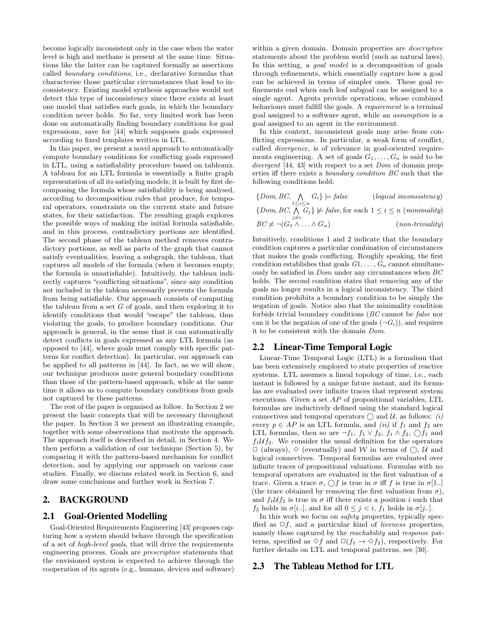become logically inconsistent only in the case when the water level is high and methane is present at the same time. Situations like the latter can be captured formally as assertions called boundary conditions, i.e., declarative formulas that characterise those particular circumstances that lead to inconsistency. Existing model synthesis approaches would not detect this type of inconsistency since there exists at least one model that satisfies such goals, in which the boundary condition never holds. So far, very limited work has been done on automatically finding boundary conditions for goal expressions, save for [44] which supposes goals expressed according to fixed templates written in LTL.

In this paper, we present a novel approach to automatically compute boundary conditions for conflicting goals expressed in LTL, using a satisfiability procedure based on tableaux. A tableau for an LTL formula is essentially a finite graph representation of all its satisfying models; it is built by first decomposing the formula whose satisfiability is being analysed, according to decomposition rules that produce, for temporal operators, constraints on the current state and future states, for their satisfaction. The resulting graph explores the possible ways of making the initial formula satisfiable, and in this process, contradictory portions are identified. The second phase of the tableau method removes contradictory portions, as well as parts of the graph that cannot satisfy eventualities, leaving a subgraph, the tableau, that captures all models of the formula (when it becomes empty, the formula is unsatisfiable). Intuitively, the tableau indirectly captures "conflicting situations", since any condition not included in the tableau necessarily prevents the formula from being satisfiable. Our approach consists of computing the tableau from a set  $G$  of goals, and then exploring it to identify conditions that would "escape" the tableau, thus violating the goals, to produce boundary conditions. Our approach is general, in the sense that it can automatically detect conflicts in goals expressed as any LTL formula (as opposed to [44], where goals must comply with specific patterns for conflict detection). In particular, our approach can be applied to all patterns in [44]. In fact, as we will show, our technique produces more general boundary conditions than those of the pattern-based approach, while at the same time it allows us to compute boundary conditions from goals not captured by these patterns.

The rest of the paper is organised as follow. In Section 2 we present the basic concepts that will be necessary throughout the paper. In Section 3 we present an illustrating example, together with some observations that motivate the approach. The approach itself is described in detail, in Section 4. We then perform a validation of our technique (Section 5), by comparing it with the pattern-based mechanism for conflict detection, and by applying our approach on various case studies. Finally, we discuss related work in Section 6, and draw some conclusions and further work in Section 7.

# 2. BACKGROUND

## 2.1 Goal-Oriented Modelling

Goal-Oriented Requirements Engineering [43] proposes capturing how a system should behave through the specification of a set of high-level goals, that will drive the requirements engineering process. Goals are prescriptive statements that the envisioned system is expected to achieve through the cooperation of its agents (e.g., humans, devices and software) within a given domain. Domain properties are *descriptive* statements about the problem world (such as natural laws). In this setting, a *goal model* is a decomposition of goals through refinements, which essentially capture how a goal can be achieved in terms of simpler ones. These goal refinements end when each leaf subgoal can be assigned to a single agent. Agents provide operations, whose combined behaviours must fulfill the goals. A requirement is a terminal goal assigned to a software agent, while an assumption is a goal assigned to an agent in the environment.

In this context, inconsistent goals may arise from conflicting expressions. In particular, a weak form of conflict, called divergence, is of relevance in goal-oriented requirements engineering. A set of goals  $G_1, \ldots, G_n$  is said to be divergent [44, 43] with respect to a set *Dom* of domain properties iff there exists a boundary condition BC such that the following conditions hold:

| $\{Dom, BC, \Lambda \ G_i\} \models false$<br>$1 \leq i \leq n$                                         | $(logical\ inconsistency)$ |
|---------------------------------------------------------------------------------------------------------|----------------------------|
| $\{Dom, BC, \bigwedge G_i\} \not\models \text{false},$ for each $1 \leq i \leq n$ ( <i>minimality</i> ) |                            |
| $BC \neq \neg(G_1 \wedge \ldots \wedge G_n)$                                                            | $(non-triviality)$         |

Intuitively, conditions 1 and 2 indicate that the boundary condition captures a particular combination of circumstances that makes the goals conflicting. Roughly speaking, the first condition establishes that goals  $G_1, \ldots, G_n$  cannot simultaneously be satisfied in Dom under any circumstances when BC holds. The second condition states that removing any of the goals no longer results in a logical inconsistency. The third condition prohibits a boundary condition to be simply the negation of goals. Notice also that the minimality condition forbids trivial boundary conditions (BC cannot be false nor can it be the negation of one of the goals  $(\neg G_i)$ , and requires it to be consistent with the domain Dom.

## 2.2 Linear-Time Temporal Logic

Linear-Time Temporal Logic (LTL) is a formalism that has been extensively employed to state properties of reactive systems. LTL assumes a lineal topology of time, i.e., each instant is followed by a unique future instant, and its formulas are evaluated over infinite traces that represent system executions. Given a set AP of propositional variables, LTL formulas are inductively defined using the standard logical connectives and temporal operators  $\bigcirc$  and  $\mathcal{U}$ , as follows: *(i)* every  $p \in AP$  is an LTL formula, and *(ii)* if  $f_1$  and  $f_2$  are LTL formulas, then so are  $\neg f_1$ ,  $f_1 \lor f_2$ ,  $f_1 \land f_2$ ,  $\bigcirc f_1$  and  $f_1 \mathcal{U} f_2$ . We consider the usual definition for the operators  $\Box$  (always),  $\diamond$  (eventually) and W in terms of  $\bigcirc$ , U and logical connectives. Temporal formulas are evaluated over infinite traces of propositional valuations. Formulas with no temporal operators are evaluated in the first valuation of a trace. Given a trace  $\sigma$ ,  $\bigcap f$  is true in  $\sigma$  iff f is true in  $\sigma$ [1..] (the trace obtained by removing the first valuation from  $\sigma$ ), and  $f_1 \mathcal{U} f_2$  is true in  $\sigma$  iff there exists a position i such that  $f_2$  holds in  $\sigma[i...]$ , and for all  $0 \leq j \leq i$ ,  $f_1$  holds in  $\sigma[j]$ .

In this work we focus on safety properties, typically specified as  $\Box f$ , and a particular kind of *liveness* properties, namely those captured by the reachability and response patterns, specified as  $\Diamond f$  and  $\Box(f_1 \rightarrow \Diamond f_2)$ , respectively. For further details on LTL and temporal patterns, see [30].

#### 2.3 The Tableau Method for LTL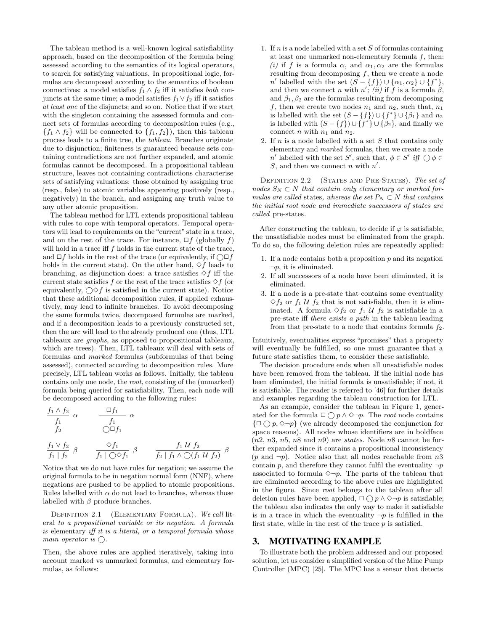The tableau method is a well-known logical satisfiability approach, based on the decomposition of the formula being assessed according to the semantics of its logical operators, to search for satisfying valuations. In propositional logic, formulas are decomposed according to the semantics of boolean connectives: a model satisfies  $f_1 \wedge f_2$  iff it satisfies both conjuncts at the same time; a model satisfies  $f_1 \vee f_2$  iff it satisfies at least one of the disjuncts; and so on. Notice that if we start with the singleton containing the assessed formula and connect sets of formulas according to decomposition rules (e.g.,  ${f_1 \wedge f_2}$  will be connected to  ${f_1, f_2}$ , then this tableau process leads to a finite tree, the tableau. Branches originate due to disjunction; finiteness is guaranteed because sets containing contradictions are not further expanded, and atomic formulas cannot be decomposed. In a propositional tableau structure, leaves not containing contradictions characterise sets of satisfying valuations: those obtained by assigning true (resp., false) to atomic variables appearing positively (resp., negatively) in the branch, and assigning any truth value to any other atomic proposition.

The tableau method for LTL extends propositional tableau with rules to cope with temporal operators. Temporal operators will lead to requirements on the "current" state in a trace, and on the rest of the trace. For instance,  $\Box f$  (globally f) will hold in a trace iff f holds in the current state of the trace, and  $\Box f$  holds in the rest of the trace (or equivalently, if  $\bigcirc \Box f$ holds in the current state). On the other hand,  $\Diamond f$  leads to branching, as disjunction does: a trace satisfies  $\Diamond f$  iff the current state satisfies f or the rest of the trace satisfies  $\Diamond f$  (or equivalently,  $\bigcirc \Diamond f$  is satisfied in the current state). Notice that these additional decomposition rules, if applied exhaustively, may lead to infinite branches. To avoid decomposing the same formula twice, decomposed formulas are marked, and if a decomposition leads to a previously constructed set, then the arc will lead to the already produced one (thus, LTL tableaux are graphs, as opposed to propositional tableaux, which are trees). Then, LTL tableaux will deal with sets of formulas and marked formulas (subformulas of that being assessed), connected according to decomposition rules. More precisely, LTL tableau works as follows. Initially, the tableau contains only one node, the root, consisting of the (unmarked) formula being queried for satisfiability. Then, each node will be decomposed according to the following rules:

$$
\frac{f_1 \wedge f_2}{f_1} \alpha \qquad \frac{\Box f_1}{f_1} \alpha
$$
\n
$$
\frac{f_1 \vee f_2}{f_1 \mid f_2} \beta \qquad \frac{\Diamond f_1}{f_1 \mid \bigcirc \Diamond f_1} \beta \qquad \frac{f_1 \vee f_2}{f_2 \mid f_1 \wedge \bigcirc (f_1 \vee f_2)} \beta
$$

Notice that we do not have rules for negation; we assume the original formula to be in negation normal form (NNF), where negations are pushed to be applied to atomic propositions. Rules labelled with  $\alpha$  do not lead to branches, whereas those labelled with  $\beta$  produce branches.

DEFINITION 2.1 (ELEMENTARY FORMULA). We call literal to a propositional variable or its negation. A formula is elementary iff it is a literal, or a temporal formula whose main operator is  $\bigcirc$ .

Then, the above rules are applied iteratively, taking into account marked vs unmarked formulas, and elementary formulas, as follows:

- 1. If n is a node labelled with a set  $S$  of formulas containing at least one unmarked non-elementary formula  $f$ , then: (i) if f is a formula  $\alpha$ , and  $\alpha_1, \alpha_2$  are the formulas resulting from decomposing  $f$ , then we create a node n' labelled with the set  $(S - \{f\}) \cup \{\alpha_1, \alpha_2\} \cup \{f^*\},\$ and then we connect n with  $n'$ ; (ii) if f is a formula  $\beta$ , and  $\beta_1, \beta_2$  are the formulas resulting from decomposing f, then we create two nodes  $n_1$  and  $n_2$ , such that,  $n_1$ is labelled with the set  $(S - \{f\}) \cup \{f^*\} \cup \{\beta_1\}$  and  $n_2$ is labelled with  $(S - \{f\}) \cup \{f^*\} \cup \{\beta_2\}$ , and finally we connect n with  $n_1$  and  $n_2$ .
- 2. If  $n$  is a node labelled with a set  $S$  that contains only elementary and marked formulas, then we create a node n' labelled with the set S', such that,  $\phi \in S'$  iff  $\bigcirc \phi \in$ S, and then we connect n with  $n'$ .

DEFINITION 2.2 (STATES AND PRE-STATES). The set of nodes  $S_N \subset N$  that contain only elementary or marked formulas are called states, whereas the set  $P_N \subset N$  that contains the initial root node and immediate successors of states are called pre-states.

After constructing the tableau, to decide if  $\varphi$  is satisfiable, the unsatisfiable nodes must be eliminated from the graph. To do so, the following deletion rules are repeatedly applied:

- 1. If a node contains both a proposition  $p$  and its negation  $\neg p$ , it is eliminated.
- 2. If all successors of a node have been eliminated, it is eliminated.
- 3. If a node is a pre-state that contains some eventuality  $\Diamond f_2$  or  $f_1$  U  $f_2$  that is not satisfiable, then it is eliminated. A formula  $\Diamond f_2$  or  $f_1 \mathcal{U} f_2$  is satisfiable in a pre-state iff there exists a path in the tableau leading from that pre-state to a node that contains formula  $f_2$ .

Intuitively, eventualities express "promises" that a property will eventually be fulfilled, so one must guarantee that a future state satisfies them, to consider these satisfiable.

The decision procedure ends when all unsatisfiable nodes have been removed from the tableau. If the initial node has been eliminated, the initial formula is unsatisfiable; if not, it is satisfiable. The reader is referred to [46] for further details and examples regarding the tableau construction for LTL.

As an example, consider the tableau in Figure 1, generated for the formula  $\Box \bigcirc p \wedge \Diamond \neg p$ . The *root* node contains  $\{\Box \bigcirc p, \Diamond \neg p\}$  (we already decomposed the conjunction for space reasons). All nodes whose identifiers are in boldface  $(n2, n3, n5, n8 \text{ and } n9)$  are states. Node n8 cannot be further expanded since it contains a propositional inconsistency  $(p \text{ and } \neg p)$ . Notice also that all nodes reachable from n3 contain p, and therefore they cannot fulfil the eventuality  $\neg p$ associated to formula  $\Diamond \neg p$ . The parts of the tableau that are eliminated according to the above rules are highlighted in the figure. Since root belongs to the tableau after all deletion rules have been applied,  $\Box \bigcap p \land \Diamond \neg p$  is satisfiable; the tableau also indicates the only way to make it satisfiable is in a trace in which the eventuality  $\neg p$  is fulfilled in the first state, while in the rest of the trace p is satisfied.

#### 3. MOTIVATING EXAMPLE

To illustrate both the problem addressed and our proposed solution, let us consider a simplified version of the Mine Pump Controller (MPC) [25]. The MPC has a sensor that detects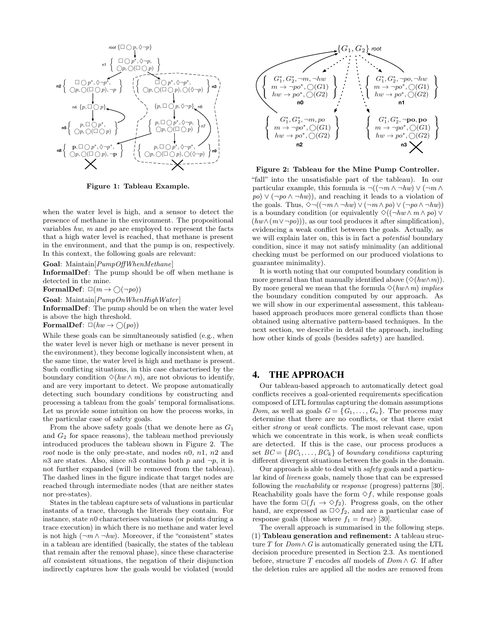

Figure 1: Tableau Example.

when the water level is high, and a sensor to detect the presence of methane in the environment. The propositional variables  $hw$ , m and po are employed to represent the facts that a high water level is reached, that methane is present in the environment, and that the pump is on, respectively. In this context, the following goals are relevant:

Goal: Maintain[PumpOffWhenMethane]

InformalDef: The pump should be off when methane is detected in the mine.

FormalDef:  $\square(m \to \bigcirc(\neg po))$ 

Goal: Maintain $[PumpOnWhenHighWater]$ 

InformalDef: The pump should be on when the water level is above the high threshold.

FormalDef:  $\square(hw \rightarrow \bigcirc (po))$ 

While these goals can be simultaneously satisfied (e.g., when the water level is never high or methane is never present in the environment), they become logically inconsistent when, at the same time, the water level is high and methane is present. Such conflicting situations, in this case characterised by the boundary condition  $\Diamond$ (hw  $\land$  m), are not obvious to identify, and are very important to detect. We propose automatically detecting such boundary conditions by constructing and processing a tableau from the goals' temporal formalisations. Let us provide some intuition on how the process works, in the particular case of safety goals.

From the above safety goals (that we denote here as  $G_1$ ) and  $G_2$  for space reasons), the tableau method previously introduced produces the tableau shown in Figure 2. The root node is the only pre-state, and nodes  $n0$ ,  $n1$ ,  $n2$  and  $n3$  are states. Also, since  $n3$  contains both p and  $\neg p$ , it is not further expanded (will be removed from the tableau). The dashed lines in the figure indicate that target nodes are reached through intermediate nodes (that are neither states nor pre-states).

States in the tableau capture sets of valuations in particular instants of a trace, through the literals they contain. For instance, state n0 characterises valuations (or points during a trace execution) in which there is no methane and water level is not high  $(\neg m \wedge \neg hw)$ . Moreover, if the "consistent" states in a tableau are identified (basically, the states of the tableau that remain after the removal phase), since these characterise all consistent situations, the negation of their disjunction indirectly captures how the goals would be violated (would



Figure 2: Tableau for the Mine Pump Controller.

"fall" into the unsatisfiable part of the tableau). In our particular example, this formula is  $\neg((\neg m \land \neg hw) \lor (\neg m \land$  $po) \vee (\neg po \wedge \neg hw)$ , and reaching it leads to a violation of the goals. Thus,  $\Diamond \neg ((\neg m \land \neg hw) \lor (\neg m \land po) \lor (\neg po \land \neg hw))$ is a boundary condition (or equivalently  $\Diamond((\neg hw \land m \land po) \lor$  $(hw \wedge (m \vee \neg po))$ , as our tool produces it after simplification), evidencing a weak conflict between the goals. Actually, as we will explain later on, this is in fact a *potential* boundary condition, since it may not satisfy minimality (an additional checking must be performed on our produced violations to guarantee minimality).

It is worth noting that our computed boundary condition is more general than that manually identified above  $(\Diamond (hw\wedge m)).$ By more general we mean that the formula  $\Diamond$ (hw $\land$ m) implies the boundary condition computed by our approach. As we will show in our experimental assessment, this tableaubased approach produces more general conflicts than those obtained using alternative pattern-based techniques. In the next section, we describe in detail the approach, including how other kinds of goals (besides safety) are handled.

## 4. THE APPROACH

Our tableau-based approach to automatically detect goal conflicts receives a goal-oriented requirements specification composed of LTL formulas capturing the domain assumptions Dom, as well as goals  $G = \{G_1, \ldots, G_n\}$ . The process may determine that there are no conflicts, or that there exist either strong or weak conflicts. The most relevant case, upon which we concentrate in this work, is when *weak* conflicts are detected. If this is the case, our process produces a set  $BC = \{BC_1, \ldots, BC_k\}$  of boundary conditions capturing different divergent situations between the goals in the domain.

Our approach is able to deal with safety goals and a particular kind of liveness goals, namely those that can be expressed following the reachability or response (progress) patterns [30]. Reachability goals have the form  $\Diamond f$ , while response goals have the form  $\square(f_1 \rightarrow \diamond f_2)$ . Progress goals, on the other hand, are expressed as  $\Box \Diamond f_2$ , and are a particular case of response goals (those where  $f_1 = true$ ) [30].

The overall approach is summarised in the following steps. (1) Tableau generation and refinement: A tableau structure T for  $Dom \wedge G$  is automatically generated using the LTL decision procedure presented in Section 2.3. As mentioned before, structure T encodes all models of  $Dom \wedge G$ . If after the deletion rules are applied all the nodes are removed from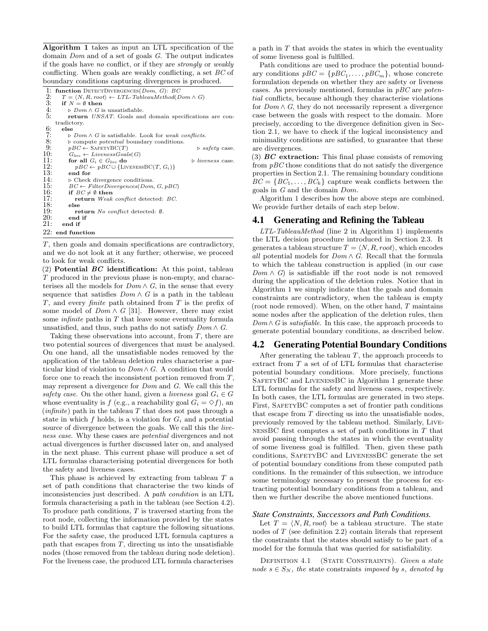Algorithm 1 takes as input an LTL specification of the domain Dom and of a set of goals G. The output indicates if the goals have no conflict, or if they are strongly or weakly conflicting. When goals are weakly conflicting, a set BC of boundary conditions capturing divergences is produced.

| 1:  | function DETECTDIVERGENCES ( $Dom, G$ ): BC                                        |                                 |  |  |  |  |
|-----|------------------------------------------------------------------------------------|---------------------------------|--|--|--|--|
| 2:  | $T = \langle N, R, root \rangle \leftarrow LTL\text{-}TableauMethod(Dom \wedge G)$ |                                 |  |  |  |  |
| 3:  | if $N = \emptyset$ then                                                            |                                 |  |  |  |  |
| 4:  | $\triangleright$ Dom $\wedge$ G is unsatisfiable.                                  |                                 |  |  |  |  |
| 5:  | return UNSAT. Goals and domain specifications are con-                             |                                 |  |  |  |  |
|     | tradictory.                                                                        |                                 |  |  |  |  |
| 6:  | else                                                                               |                                 |  |  |  |  |
| 7:  | $\triangleright$ Dom $\wedge$ G is satisfiable. Look for weak conflicts.           |                                 |  |  |  |  |
| 8:  | $\triangleright$ compute <i>potential</i> boundary conditions.                     |                                 |  |  |  |  |
| 9:  | $pBC \leftarrow$ SAFETYBC(T)                                                       | $\triangleright$ safety case.   |  |  |  |  |
| 10: | $G_{line} \leftarrow LivesGools(G)$                                                |                                 |  |  |  |  |
| 11: | for all $G_i \in G_{line}$ do                                                      | $\triangleright$ liveness case. |  |  |  |  |
| 12: | $pBC \leftarrow pBC \cup \{\text{LIVENESSBC}(T, G_i)\}\$                           |                                 |  |  |  |  |
| 13: | end for                                                                            |                                 |  |  |  |  |
| 14: | $\triangleright$ Check divergence conditions.                                      |                                 |  |  |  |  |
| 15: | $BC \leftarrow FilterDivergences(Dom, G, pBC)$                                     |                                 |  |  |  |  |
| 16: | if $BC \neq \emptyset$ then                                                        |                                 |  |  |  |  |
| 17: | <b>return</b> Weak conflict detected: BC.                                          |                                 |  |  |  |  |
| 18: | else                                                                               |                                 |  |  |  |  |
| 19: | <b>return</b> No conflict detected: $\emptyset$ .                                  |                                 |  |  |  |  |
| 20: | end if                                                                             |                                 |  |  |  |  |
| 21: | end if                                                                             |                                 |  |  |  |  |
|     | $22:$ end function                                                                 |                                 |  |  |  |  |

T, then goals and domain specifications are contradictory, and we do not look at it any further; otherwise, we proceed to look for weak conflicts.

(2) Potential  $BC$  identification: At this point, tableau T produced in the previous phase is non-empty, and characterises all the models for  $Dom \wedge G$ , in the sense that every sequence that satisfies  $Dom \wedge G$  is a path in the tableau  $T$ , and every *finite* path obtained from  $T$  is the prefix of some model of  $Dom \wedge G$  [31]. However, there may exist some *infinite* paths in  $T$  that leave some eventuality formula unsatisfied, and thus, such paths do not satisfy  $Dom \wedge G$ .

Taking these observations into account, from  $T$ , there are two potential sources of divergences that must be analysed. On one hand, all the unsatisfiable nodes removed by the application of the tableau deletion rules characterise a particular kind of violation to  $Dom \wedge G$ . A condition that would force one to reach the inconsistent portion removed from  $T$ , may represent a divergence for Dom and G. We call this the safety case. On the other hand, given a liveness goal  $G_i \in G$ whose eventuality is f (e.g., a reachability goal  $G_i = \Diamond f$ ), an  $(infinite)$  path in the tableau  $T$  that does not pass through a state in which f holds, is a violation for  $G_i$  and a potential source of divergence between the goals. We call this the liveness case. Why these cases are *potential* divergences and not actual divergences is further discussed later on, and analysed in the next phase. This current phase will produce a set of LTL formulas characterising potential divergences for both the safety and liveness cases.

This phase is achieved by extracting from tableau  $T$  a set of path conditions that characterise the two kinds of inconsistencies just described. A path condition is an LTL formula characterising a path in the tableau (see Section 4.2). To produce path conditions,  $T$  is traversed starting from the root node, collecting the information provided by the states to build LTL formulas that capture the following situations. For the safety case, the produced LTL formula captures a path that escapes from  $T$ , directing us into the unsatisfiable nodes (those removed from the tableau during node deletion). For the liveness case, the produced LTL formula characterises

a path in  $T$  that avoids the states in which the eventuality of some liveness goal is fulfilled.

Path conditions are used to produce the potential boundary conditions  $pBC = \{pBC_1, \ldots, pBC_m\}$ , whose concrete formulation depends on whether they are safety or liveness cases. As previously mentioned, formulas in  $pBC$  are potential conflicts, because although they characterise violations for  $Dom \wedge G$ , they do not necessarily represent a divergence case between the goals with respect to the domain. More precisely, according to the divergence definition given in Section 2.1, we have to check if the logical inconsistency and minimality conditions are satisfied, to guarantee that these are divergences.

(3)  $BC$  extraction: This final phase consists of removing from  $pBC$  those conditions that do not satisfy the divergence properties in Section 2.1. The remaining boundary conditions  $BC = \{BC_1, \ldots, BC_k\}$  capture weak conflicts between the goals in G and the domain Dom.

Algorithm 1 describes how the above steps are combined. We provide further details of each step below.

#### 4.1 Generating and Refining the Tableau

 $LTL$ -TableauMethod (line 2 in Algorithm 1) implements the LTL decision procedure introduced in Section 2.3. It generates a tableau structure  $T = \langle N, R, root \rangle$ , which encodes all potential models for  $Dom \wedge G$ . Recall that the formula to which the tableau construction is applied (in our case  $Dom \wedge G$  is satisfiable iff the root node is not removed during the application of the deletion rules. Notice that in Algorithm 1 we simply indicate that the goals and domain constraints are contradictory, when the tableau is empty (root node removed). When, on the other hand,  $T$  maintains some nodes after the application of the deletion rules, then  $Dom \wedge G$  is *satisfiable*. In this case, the approach proceeds to generate potential boundary conditions, as described below.

#### 4.2 Generating Potential Boundary Conditions

After generating the tableau  $T$ , the approach proceeds to extract from T a set of of LTL formulas that characterise potential boundary conditions. More precisely, functions SAFETYBC and LIVENESSBC in Algorithm 1 generate these LTL formulas for the safety and liveness cases, respectively. In both cases, the LTL formulas are generated in two steps. First, SAFETYBC computes a set of frontier path conditions that escape from  $T$  directing us into the unsatisfiable nodes, previously removed by the tableau method. Similarly, Live- $NESSBC$  first computes a set of path conditions in  $T$  that avoid passing through the states in which the eventuality of some liveness goal is fulfilled. Then, given these path conditions, SafetyBC and LivenessBC generate the set of potential boundary conditions from these computed path conditions. In the remainder of this subsection, we introduce some terminology necessary to present the process for extracting potential boundary conditions from a tableau, and then we further describe the above mentioned functions.

#### *State Constraints, Successors and Path Conditions.*

Let  $T = \langle N, R, root \rangle$  be a tableau structure. The state nodes of T (see definition 2.2) contain literals that represent the constraints that the states should satisfy to be part of a model for the formula that was queried for satisfiability.

DEFINITION 4.1 (STATE CONSTRAINTS). Given a state node  $s \in S_N$ , the state constraints *imposed by s, denoted by*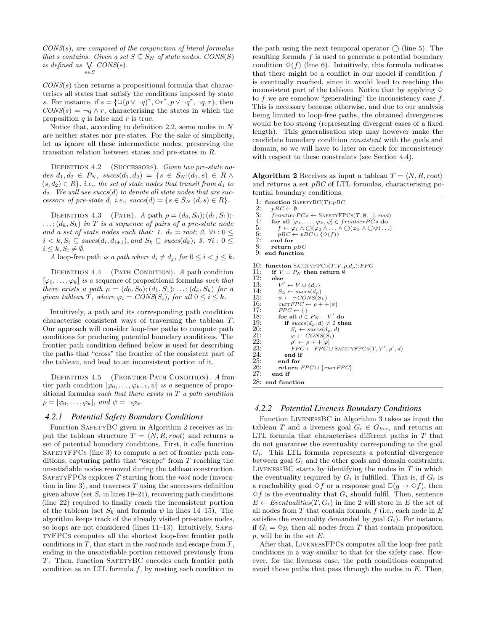$CONS(s)$ , are composed of the conjunction of literal formulas that s contains. Given a set  $S \subseteq S_N$  of state nodes,  $CONS(S)$ is defined as  $\bigvee$  CONS(s).  $s \in S$ 

 $\textit{CONS}(s)$  then returns a propositional formula that characterises all states that satisfy the conditions imposed by state s. For instance, if  $s = {\Box (p \vee \neg q)^*, \Diamond r^*, p \vee \neg q^*, \neg q, r}$ , then  $CONS(s) = \neg q \wedge r$ , characterising the states in which the proposition  $q$  is false and  $r$  is true.

Notice that, according to definition 2.2, some nodes in N are neither states nor pre-states. For the sake of simplicity, let us ignore all these intermediate nodes, preserving the transition relation between states and pre-states in R.

DEFINITION 4.2 (SUCCESSORS). Given two pre-state nodes  $d_1, d_2 \in P_N$ ,  $succ(d_1, d_2) = \{s \in S_N | (d_1, s) \in R \land$  $(s, d_2) \in R$ , i.e., the set of state nodes that transit from  $d_1$  to  $d_2$ . We will use succs(d) to denote all state nodes that are successors of pre-state d, i.e.,  $succ(s) = \{s \in S_N | (d, s) \in R\}.$ 

DEFINITION 4.3 (PATH). A path  $\rho = (d_0, S_0); (d_1, S_1);$  $\dots$ ;  $(d_k, S_k)$  in T is a sequence of pairs of a pre-state node and a set of state nodes such that: 1.  $d_0 = root$ ; 2.  $\forall i : 0 \leq$  $i < k, S_i \subseteq success(d_i, d_{i+1}),$  and  $S_k \subseteq success(d_k);$  3.  $\forall i: 0 \leq j$  $i \leq k, S_i \neq \emptyset.$ 

A loop-free path is a path where  $d_i \neq d_j$ , for  $0 \leq i < j \leq k$ .

DEFINITION 4.4 (PATH CONDITION). A path condition  $[\varphi_0, \ldots, \varphi_k]$  is a sequence of propositional formulas such that there exists a path  $\rho = (d_0, S_0); (d_1, S_1); \ldots; (d_k, S_k)$  for a given tableau T, where  $\varphi_i = CONS(S_i)$ , for all  $0 \leq i \leq k$ .

Intuitively, a path and its corresponding path condition characterise consistent ways of traversing the tableau T. Our approach will consider loop-free paths to compute path conditions for producing potential boundary conditions. The frontier path condition defined below is used for describing the paths that "cross" the frontier of the consistent part of the tableau, and lead to an inconsistent portion of it.

DEFINITION 4.5 (FRONTIER PATH CONDITION). A frontier path condition  $[\varphi_0, \ldots, \varphi_{k-1}, \psi]$  is a sequence of propositional formulas such that there exists in  $T$  a path condition  $\rho = [\varphi_0, \ldots, \varphi_k],$  and  $\psi = \neg \varphi_k$ .

#### *4.2.1 Potential Safety Boundary Conditions*

Function SAFETYBC given in Algorithm 2 receives as input the tableau structure  $T = \langle N, R, root \rangle$  and returns a set of potential boundary conditions. First, it calls function SAFETYFPCs (line 3) to compute a set of frontier path conditions, capturing paths that "escape" from T reaching the unsatisfiable nodes removed during the tableau construction. SAFETYFPCs explores  $T$  starting from the root node (invocation in line 3), and traverses  $T$  using the successors definition given above (set  $S_i$  in lines 19–21), recovering path conditions (line 22) required to finally reach the inconsistent portion of the tableau (set  $S_k$  and formula  $\psi$  in lines 14–15). The algorithm keeps track of the already visited pre-states nodes, so loops are not considered (lines 11–13). Intuitively, SAFEtyFPCs computes all the shortest loop-free frontier path conditions in  $T$ , that start in the *root* node and escape from  $T$ , ending in the unsatisfiable portion removed previously from T. Then, function SafetyBC encodes each frontier path condition as an LTL formula  $f$ , by nesting each condition in

the path using the next temporal operator  $\bigcap$  (line 5). The resulting formula f is used to generate a potential boundary condition  $\Diamond(f)$  (line 6). Intuitively, this formula indicates that there might be a conflict in our model if condition  $f$ is eventually reached, since it would lead to reaching the inconsistent part of the tableau. Notice that by applying  $\diamond$ to f we are somehow "generalising" the inconsistency case  $f$ . This is necessary because otherwise, and due to our analysis being limited to loop-free paths, the obtained divergences would be too strong (representing divergent cases of a fixed length). This generalisation step may however make the candidate boundary condition consistent with the goals and domain, so we will have to later on check for inconsistency with respect to these constraints (see Section 4.4).

Algorithm 2 Receives as input a tableau  $T = \langle N, R, root \rangle$ and returns a set  $pBC$  of LTL formulas, characterising potential boundary conditions.

```
1: function SAFETYBC(T): pBC \leftarrow \emptyset2: pBC \leftarrow \emptyset<br>3: frontier1
   3: frontier PCs \leftarrow SAFETYFPCs(T, \emptyset, [\cdot], root)<br>4: for all [\varphi_1, \ldots, \varphi_k, \psi] \in frontier PCs do
   4: for all [\varphi_1, \ldots, \varphi_k, \psi] \in frontier \overrightarrow{PCs} do<br>
5: f \leftarrow \varphi_1 \land \bigcirc (\varphi_2 \land \ldots \land \bigcirc (\varphi_k \land \bigcirc \psi) \ldots)<br>
6: pBC \leftarrow pBC \cup \{\Diamond(f)\}7: end for<br>8: return \frac{1}{2}return pBC9: end function
10: function SAFETYFPCs(T, V, \rho, d_{\rho}): FPC<br>11: if V = P_N then return \emptyset11: if V = P_N then return \emptyset<br>12: else<br>13: V' \leftarrow V \cup \{d_{\alpha}\}\12: else<br>
13: V' \leftarrow V \cup \{d_{\rho}\}14: S_k \leftarrow succs(d_\rho)<br>
15: \psi \leftarrow \neg CONS(S_k)16: currFPC \leftarrow \rho + +[\psi]<br>17: FPC \leftarrow {\}<br>18: for all d \in P_N - V'17: FPC \leftarrow \{\}<br>18: for all d \in P_N - V' do
19: if succs(d_{\rho}, d) \neq \emptyset then<br>
20: S_i \leftarrow succs(d_{\rho}, d)<br>
21: \varphi \leftarrow CONS(S_i)20: S_i \leftarrow succs(d_{\rho}, d)<br>
21: \varphi \leftarrow CONS(S_i)\frac{22}{23}:
 22:<br>
\rho' \leftarrow \rho + +[\varphi]<br>
23: FPC \leftarrow FPC \cup \text{SAFETYFPCs}(T, V', \rho', d)24: end if<br>25: end for
\frac{25:}{26:} end for
26: return FPC \cup \{currFPC\}<br>27: end if
                end if
28: end function
```
#### *4.2.2 Potential Liveness Boundary Conditions*

Function LivenessBC in Algorithm 3 takes as input the tableau T and a liveness goal  $G_i \in G_{live}$ , and returns an LTL formula that characterises different paths in T that do not guarantee the eventuality corresponding to the goal  $G_i$ . This LTL formula represents a potential divergence between goal  $G_i$  and the other goals and domain constraints. LIVENESSBC starts by identifying the nodes in  $T$  in which the eventuality required by  $G_i$  is fulfilled. That is, if  $G_i$  is a reachability goal  $\Diamond f$  or a response goal  $\Box (q \rightarrow \Diamond f)$ , then  $\Diamond f$  is the eventuality that  $G_i$  should fulfil. Then, sentence  $E \leftarrow Eventualities(T, G_i)$  in line 2 will store in E the set of all nodes from  $T$  that contain formula  $f$  (i.e., each node in  $E$ satisfies the eventuality demanded by goal  $G_i$ ). For instance, if  $G_i = \Diamond p$ , then all nodes from T that contain proposition  $p$ , will be in the set  $E$ .

After that, LivenessFPCs computes all the loop-free path conditions in a way similar to that for the safety case. However, for the liveness case, the path conditions computed avoid those paths that pass through the nodes in  $E$ . Then,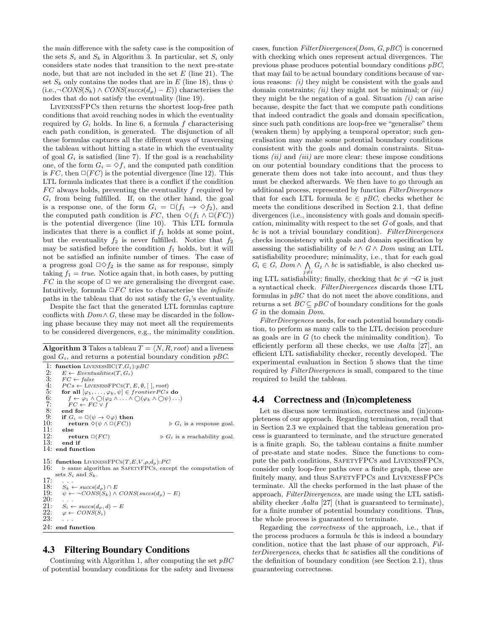the main difference with the safety case is the composition of the sets  $S_i$  and  $S_k$  in Algorithm 3. In particular, set  $S_i$  only considers state nodes that transition to the next pre-state node, but that are not included in the set  $E$  (line 21). The set  $S_k$  only contains the nodes that are in E (line 18), thus  $\psi$  $(i.e., \neg CONS(S_k) \wedge CONS(succs(d_{\rho}) - E))$  characterises the nodes that do not satisfy the eventuality (line 19).

LivenessFPCs then returns the shortest loop-free path conditions that avoid reaching nodes in which the eventuality required by  $G_i$  holds. In line 6, a formula f characterising each path condition, is generated. The disjunction of all these formulas captures all the different ways of traversing the tableau without hitting a state in which the eventuality of goal  $G_i$  is satisfied (line 7). If the goal is a reachability one, of the form  $G_i = \Diamond f$ , and the computed path condition is  $FC$ , then  $\square (FC)$  is the potential divergence (line 12). This LTL formula indicates that there is a conflict if the condition  $FC$  always holds, preventing the eventuality  $f$  required by  $G_i$  from being fulfilled. If, on the other hand, the goal is a response one, of the form  $G_i = \Box(f_1 \rightarrow \Diamond f_2)$ , and the computed path condition is  $FC$ , then  $\Diamond(f_1 \land \Box(FC))$ is the potential divergence (line 10). This LTL formula indicates that there is a conflict if  $f_1$  holds at some point, but the eventuality  $f_2$  is never fulfilled. Notice that  $f_2$ may be satisfied before the condition  $f_1$  holds, but it will not be satisfied an infinite number of times. The case of a progress goal  $\Box \Diamond f_2$  is the same as for response, simply taking  $f_1 = true$ . Notice again that, in both cases, by putting  $FC$  in the scope of  $\Box$  we are generalising the divergent case. Intuitively, formula  $\Box FC$  tries to characterise the *infinite* paths in the tableau that do not satisfy the  $G_i$ 's eventuality.

Despite the fact that the generated LTL formulas capture conflicts with  $Dom \wedge G$ , these may be discarded in the following phase because they may not meet all the requirements to be considered divergences, e.g., the minimality condition.

**Algorithm 3** Takes a tableau  $T = \langle N, R, root \rangle$  and a liveness goal  $G_i$ , and returns a potential boundary condition  $pBC$ .

```
1: function LIVENESSBC(T, G_i): pBC<br>2: E \leftarrow Eventualities(T, G_i)2: E \leftarrow Eventualities(T, G_i)<br>3: FC \leftarrow false3: FC \leftarrow false<br>4: PCs \leftarrow LIVE4: PCs \leftarrow \text{LivenessFPCs}(T, E, \emptyset, [ \cdot ], root)<br>5: for all [\varphi_1, \ldots, \varphi_k, \psi] \in frontierPCs5: for all [\varphi_1, \ldots, \varphi_k, \psi] \in frontier PCs do<br>6: f \leftarrow \varphi_1 \land \bigcirc (\varphi_2 \land \ldots \land \bigcirc (\varphi_k \land \bigcirc \psi) \ldots)<br>7: FC \leftarrow FC \lor f8: end for<br>9: if G_i =9: if G_i = \Box(\psi \to \Diamond \varphi) then<br>10: return \Diamond(\psi \land \Box (FC))10: return \Diamond(\psi \land \Box(FC)) \triangleright G_i is a response goal.<br>11: else
11: else<br>
12: return \square (FC)12: return \square(FC) \triangleright G_i is a reachability goal.<br>13: end if
              end if
14: end function
15: function LIVENESSFPCS(T, E, V, \rho, d_{\rho}): PC<br>16: \triangleright same algorithm as SAFETYFPCS, exce
              \triangleright same algorithm as SAFETYFPCs, except the computation of
         sets S_i and S_k.
\frac{17}{18}18: S_k \leftarrow success(d_\rho) \cap E<br>19: \psi \leftarrow \neg CONS(S_k) \wedge\psi \leftarrow \neg CONS(S_k) \land CONS(succs(d_{\rho}) - E)\frac{20}{21}:
21: S_i \leftarrow success(d_\rho, d) - E<br>22: S_i \leftarrow CONS(S_i)\varphi \leftarrow CONS(S_i)23:24: end function
```
## 4.3 Filtering Boundary Conditions

Continuing with Algorithm 1, after computing the set  $pBC$ of potential boundary conditions for the safety and liveness

cases, function FilterDivergences(Dom, G, pBC) is concerned with checking which ones represent actual divergences. The previous phase produces potential boundary conditions pBC, that may fail to be actual boundary conditions because of various reasons: (i) they might be consistent with the goals and domain constraints; (ii) they might not be minimal; or (iii) they might be the negation of a goal. Situation  $(i)$  can arise because, despite the fact that we compute path conditions that indeed contradict the goals and domain specification, since such path conditions are loop-free we "generalise" them (weaken them) by applying a temporal operator; such generalisation may make some potential boundary conditions consistent with the goals and domain constraints. Situations  $(ii)$  and  $(iii)$  are more clear: these impose conditions on our potential boundary conditions that the process to generate them does not take into account, and thus they must be checked afterwards. We then have to go through an additional process, represented by function FilterDivergences that for each LTL formula  $bc \in pBC$ , checks whether bc meets the conditions described in Section 2.1, that define divergences (i.e., inconsistency with goals and domain specification, minimality with respect to the set G of goals, and that bc is not a trivial boundary condition). FilterDivergences checks inconsistency with goals and domain specification by assessing the satisfiability of  $bc \wedge G \wedge Dom$  using an LTL satisfiability procedure; minimality, i.e., that for each goal  $G_i \in G$ ,  $Dom \wedge \bigwedge_{j \neq i} G_j \wedge bc$  is satisfiable, is also checked using LTL satisfiability; finally, checking that  $bc \neq \neg G$  is just a syntactical check. FilterDivergences discards those LTL

formulas in  $pBC$  that do not meet the above conditions, and returns a set  $BC \subseteq pBC$  of boundary conditions for the goals G in the domain Dom.

FilterDivergences needs, for each potential boundary condition, to perform as many calls to the LTL decision procedure as goals are in  $G$  (to check the minimality condition). To efficiently perform all these checks, we use Aalta [27], an efficient LTL satisfiability checker, recently developed. The experimental evaluation in Section 5 shows that the time required by FilterDivergences is small, compared to the time required to build the tableau.

## 4.4 Correctness and (In)completeness

Let us discuss now termination, correctness and  $(in)$ completeness of our approach. Regarding termination, recall that in Section 2.3 we explained that the tableau generation process is guaranteed to terminate, and the structure generated is a finite graph. So, the tableau contains a finite number of pre-state and state nodes. Since the functions to compute the path conditions, SafetyFPCs and LivenessFPCs, consider only loop-free paths over a finite graph, these are finitely many, and thus SafetyFPCs and LivenessFPCs terminate. All the checks performed in the last phase of the approach, FilterDivergences, are made using the LTL satisfiability checker Aalta [27] (that is guaranteed to terminate), for a finite number of potential boundary conditions. Thus, the whole process is guaranteed to terminate.

Regarding the correctness of the approach, i.e., that if the process produces a formula bc this is indeed a boundary condition, notice that the last phase of our approach, FilterDivergences, checks that bc satisfies all the conditions of the definition of boundary condition (see Section 2.1), thus guaranteeing correctness.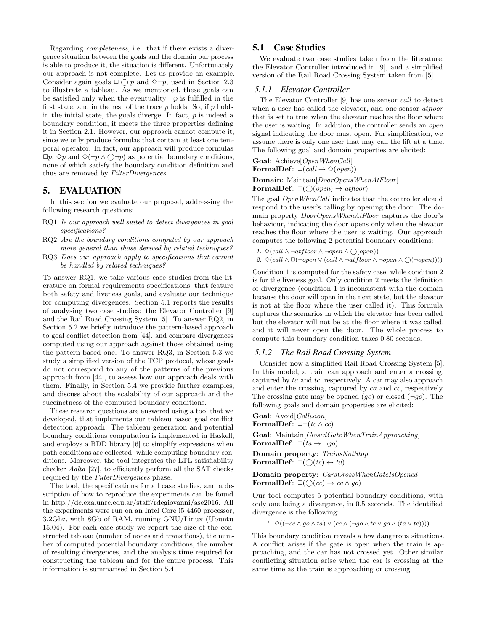Regarding completeness, i.e., that if there exists a divergence situation between the goals and the domain our process is able to produce it, the situation is different. Unfortunately our approach is not complete. Let us provide an example. Consider again goals  $\Box \bigcap p$  and  $\Diamond \neg p$ , used in Section 2.3 to illustrate a tableau. As we mentioned, these goals can be satisfied only when the eventuality  $\neg p$  is fulfilled in the first state, and in the rest of the trace  $p$  holds. So, if  $p$  holds in the initial state, the goals diverge. In fact,  $p$  is indeed a boundary condition, it meets the three properties defining it in Section 2.1. However, our approach cannot compute it, since we only produce formulas that contain at least one temporal operator. In fact, our approach will produce formulas  $\Box p$ ,  $\diamond p$  and  $\diamond (\neg p \land \bigcirc \neg p)$  as potential boundary conditions, none of which satisfy the boundary condition definition and thus are removed by FilterDivergences.

## 5. EVALUATION

In this section we evaluate our proposal, addressing the following research questions:

- RQ1 Is our approach well suited to detect divergences in goal specifications?
- RQ2 Are the boundary conditions computed by our approach more general than those derived by related techniques?
- RQ3 Does our approach apply to specifications that cannot be handled by related techniques?

To answer RQ1, we take various case studies from the literature on formal requirements specifications, that feature both safety and liveness goals, and evaluate our technique for computing divergences. Section 5.1 reports the results of analysing two case studies: the Elevator Controller [9] and the Rail Road Crossing System [5]. To answer RQ2, in Section 5.2 we briefly introduce the pattern-based approach to goal conflict detection from [44], and compare divergences computed using our approach against those obtained using the pattern-based one. To answer RQ3, in Section 5.3 we study a simplified version of the TCP protocol, whose goals do not correspond to any of the patterns of the previous approach from [44], to assess how our approach deals with them. Finally, in Section 5.4 we provide further examples, and discuss about the scalability of our approach and the succinctness of the computed boundary conditions.

These research questions are answered using a tool that we developed, that implements our tableau based goal conflict detection approach. The tableau generation and potential boundary conditions computation is implemented in Haskell, and employs a BDD library [6] to simplify expressions when path conditions are collected, while computing boundary conditions. Moreover, the tool integrates the LTL satisfiability checker Aalta [27], to efficiently perform all the SAT checks required by the FilterDivergences phase.

The tool, the specifications for all case studies, and a description of how to reproduce the experiments can be found in http://dc.exa.unrc.edu.ar/staff/rdegiovanni/ase2016. All the experiments were run on an Intel Core i5 4460 processor, 3.2Ghz, with 8Gb of RAM, running GNU/Linux (Ubuntu 15.04). For each case study we report the size of the constructed tableau (number of nodes and transitions), the number of computed potential boundary conditions, the number of resulting divergences, and the analysis time required for constructing the tableau and for the entire process. This information is summarised in Section 5.4.

# 5.1 Case Studies

We evaluate two case studies taken from the literature, the Elevator Controller introduced in [9], and a simplified version of the Rail Road Crossing System taken from [5].

## *5.1.1 Elevator Controller*

The Elevator Controller [9] has one sensor call to detect when a user has called the elevator, and one sensor *atfloor* that is set to true when the elevator reaches the floor where the user is waiting. In addition, the controller sends an open signal indicating the door must open. For simplification, we assume there is only one user that may call the lift at a time. The following goal and domain properties are elicited:

Goal: Achieve[OpenWhenCall]

FormalDef:  $\Box (call \rightarrow \Diamond (open))$ 

Domain: Maintain[DoorOpensWhenAtFloor] FormalDef:  $\square(\bigcirc(\mathit{open}) \rightarrow \mathit{atfloor})$ 

The goal OpenWhenCall indicates that the controller should respond to the user's calling by opening the door. The domain property DoorOpensWhenAtFloor captures the door's behaviour, indicating the door opens only when the elevator reaches the floor where the user is waiting. Our approach computes the following 2 potential boundary conditions:

- 1.  $\Diamond (call \land \neg affloor \land \neg open \land \bigcirc (open))$
- 2.  $\Diamond (call \land \Box(\neg open \lor (call \land \neg affloor \land \neg open \land \bigcirc(\neg open))))$

Condition 1 is computed for the safety case, while condition 2 is for the liveness goal. Only condition 2 meets the definition of divergence (condition 1 is inconsistent with the domain because the door will open in the next state, but the elevator is not at the floor where the user called it). This formula captures the scenarios in which the elevator has been called but the elevator will not be at the floor where it was called, and it will never open the door. The whole process to compute this boundary condition takes 0.80 seconds.

#### *5.1.2 The Rail Road Crossing System*

Consider now a simplified Rail Road Crossing System [5]. In this model, a train can approach and enter a crossing, captured by  $ta$  and  $tc$ , respectively. A car may also approach and enter the crossing, captured by ca and cc, respectively. The crossing gate may be opened  $(go)$  or closed  $(\neg go)$ . The following goals and domain properties are elicited:

Goal: Avoid[*Collision*] FormalDef:  $\Box \neg (tc \land cc)$ 

Goal: Maintain[ClosedGateWhenTrainApproaching] FormalDef:  $\square(ta \rightarrow \neg go)$ 

Domain property: TrainsNotStop FormalDef:  $\square(\bigcirc(tc) \leftrightarrow ta)$ 

Domain property: CarsCrossWhenGateIsOpened FormalDef:  $\square(\bigcirc(cc) \rightarrow ca \wedge go)$ 

Our tool computes 5 potential boundary conditions, with only one being a divergence, in 0.5 seconds. The identified divergence is the following:

1.  $\Diamond ((\neg cc \land qo \land ta) \lor (cc \land (\neg qo \land tc \lor qo \land (ta \lor tc))))$ 

This boundary condition reveals a few dangerous situations. A conflict arises if the gate is open when the train is approaching, and the car has not crossed yet. Other similar conflicting situation arise when the car is crossing at the same time as the train is approaching or crossing.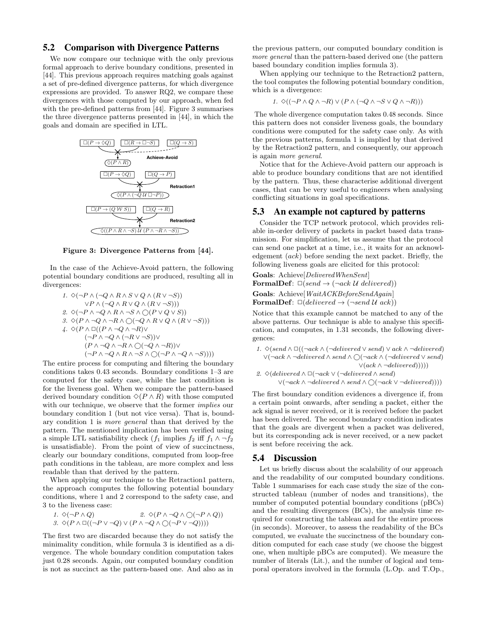## 5.2 Comparison with Divergence Patterns

We now compare our technique with the only previous formal approach to derive boundary conditions, presented in [44]. This previous approach requires matching goals against a set of pre-defined divergence patterns, for which divergence expressions are provided. To answer RQ2, we compare these divergences with those computed by our approach, when fed with the pre-defined patterns from [44]. Figure 3 summarises the three divergence patterns presented in [44], in which the goals and domain are specified in LTL.



Figure 3: Divergence Patterns from [44].

In the case of the Achieve-Avoid pattern, the following potential boundary conditions are produced, resulting all in divergences:

1. 
$$
\diamond (\neg P \land (\neg Q \land R \land S \lor Q \land (R \lor \neg S))
$$
  
\n
$$
\lor P \land (\neg Q \land R \lor Q \land (R \lor \neg S)))
$$
  
\n2. 
$$
\diamond (\neg P \land \neg Q \land R \land \neg S \land \bigcirc (P \lor Q \lor S))
$$
  
\n3. 
$$
\diamond (P \land \neg Q \land \neg R \land \bigcirc (\neg Q \land R \lor Q \land (R \lor \neg S)))
$$
  
\n4. 
$$
\diamond (P \land \Box((P \land \neg Q \land \neg R) \lor
$$
  
\n
$$
(\neg P \land \neg Q \land (\neg R \lor \neg S)) \lor
$$
  
\n
$$
(P \land \neg Q \land \neg R \land \bigcirc (\neg Q \land \neg R)) \lor
$$
  
\n
$$
(\neg P \land \neg Q \land R \land \neg S \land \bigcirc (\neg P \land \neg Q \land \neg S)))
$$

The entire process for computing and filtering the boundary conditions takes 0.43 seconds. Boundary conditions 1–3 are computed for the safety case, while the last condition is for the liveness goal. When we compare the pattern-based derived boundary condition  $\Diamond (P \land R)$  with those computed with our technique, we observe that the former *implies* our boundary condition 1 (but not vice versa). That is, boundary condition 1 is more general than that derived by the pattern. The mentioned implication has been verified using a simple LTL satisfiability check ( $f_1$  implies  $f_2$  iff  $f_1 \wedge \neg f_2$ is unsatisfiable). From the point of view of succinctness, clearly our boundary conditions, computed from loop-free path conditions in the tableau, are more complex and less readable than that derived by the pattern.

When applying our technique to the Retraction1 pattern, the approach computes the following potential boundary conditions, where 1 and 2 correspond to the safety case, and 3 to the liveness case:

1. 
$$
\diamond (\neg P \land Q)
$$
  
\n2.  $\diamond (P \land \neg Q \land \bigcirc (\neg P \land Q))$   
\n3.  $\diamond (P \land \Box ((\neg P \lor \neg Q) \lor (P \land \neg Q \land \bigcirc (\neg P \lor \neg Q))))$ 

The first two are discarded because they do not satisfy the minimality condition, while formula 3 is identified as a divergence. The whole boundary condition computation takes just 0.28 seconds. Again, our computed boundary condition is not as succinct as the pattern-based one. And also as in

the previous pattern, our computed boundary condition is more general than the pattern-based derived one (the pattern based boundary condition implies formula 3).

When applying our technique to the Retraction2 pattern, the tool computes the following potential boundary condition, which is a divergence:

1. 
$$
\Diamond ((\neg P \land Q \land \neg R) \lor (P \land (\neg Q \land \neg S \lor Q \land \neg R)))
$$

The whole divergence computation takes 0.48 seconds. Since this pattern does not consider liveness goals, the boundary conditions were computed for the safety case only. As with the previous patterns, formula 1 is implied by that derived by the Retraction2 pattern, and consequently, our approach is again more general.

Notice that for the Achieve-Avoid pattern our approach is able to produce boundary conditions that are not identified by the pattern. Thus, these characterise additional divergent cases, that can be very useful to engineers when analysing conflicting situations in goal specifications.

#### 5.3 An example not captured by patterns

Consider the TCP network protocol, which provides reliable in-order delivery of packets in packet based data transmission. For simplification, let us assume that the protocol can send one packet at a time, i.e., it waits for an acknowledgement (ack) before sending the next packet. Briefly, the following liveness goals are elicited for this protocol:

Goals: Achieve[DeliveredWhenSent] FormalDef:  $\Box(send \rightarrow (\neg ack \mathcal{U} \text{ delivered})$ )

Goals: Achieve[WaitACKBeforeSendAgain] FormalDef:  $\Box$ (delivered  $\rightarrow$  (¬send U ack))

Notice that this example cannot be matched to any of the above patterns. Our technique is able to analyse this specification, and computes, in 1.31 seconds, the following divergences:

1.  $\Diamond$ (send  $\land \Box$ ( $\neg$ ack  $\land$   $\neg$ delivered  $\lor$  send)  $\lor$  ack  $\land \neg$ delivered) ∨(¬ack ∧ ¬delivered ∧ send ∧ (¬ack ∧ (¬delivered ∨ send)  $\vee (ack \wedge \neg delivered))))$ 2.  $\Diamond$ (delivered ∧  $\Box$ (¬ack  $\lor$  (¬delivered ∧ send)

$$
\vee (\neg ack \wedge \neg delivered \wedge send \wedge \bigcirc (\neg ack \vee \neg delivered))))
$$

The first boundary condition evidences a divergence if, from a certain point onwards, after sending a packet, either the ack signal is never received, or it is received before the packet has been delivered. The second boundary condition indicates that the goals are divergent when a packet was delivered, but its corresponding ack is never received, or a new packet is sent before receiving the ack.

#### 5.4 Discussion

Let us briefly discuss about the scalability of our approach and the readability of our computed boundary conditions. Table 1 summarises for each case study the size of the constructed tableau (number of nodes and transitions), the number of computed potential boundary conditions (pBCs) and the resulting divergences (BCs), the analysis time required for constructing the tableau and for the entire process (in seconds). Moreover, to assess the readability of the BCs computed, we evaluate the succinctness of the boundary condition computed for each case study (we choose the biggest one, when multiple pBCs are computed). We measure the number of literals (Lit.), and the number of logical and temporal operators involved in the formula (L.Op. and T.Op.,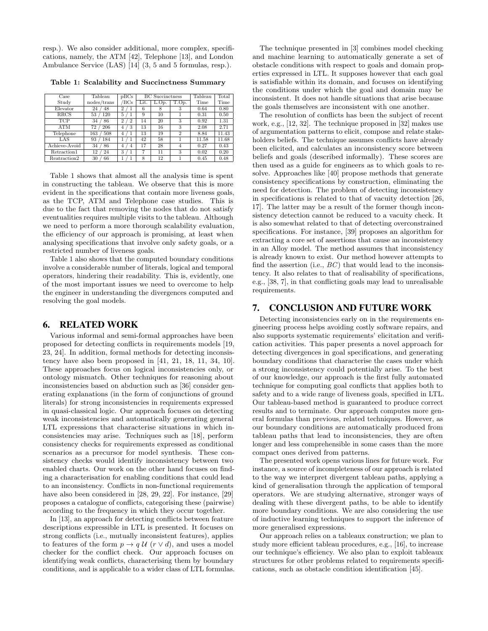resp.). We also consider additional, more complex, specifications, namely, the ATM [42], Telephone [13], and London Ambulance Service (LAS) [14] (3, 5 and 5 formulas, resp.).

Table 1: Scalability and Succinctness Summary

| Case                     | Tableau     | pBCs                             | <b>BC</b> Succinctness |       |                | Tableau | Total |
|--------------------------|-------------|----------------------------------|------------------------|-------|----------------|---------|-------|
| Study                    | nodes/trans | 'BCs                             | Lit.                   | L.Op. | T.Op.          | Time    | Time  |
| Elevator                 | 48<br>24    | $\overline{2}$                   | 6                      | 8     | 3              | 0.64    | 0.80  |
| <b>RRCS</b>              | 120<br>53   | 5                                | 9                      | 10    |                | 0.31    | 0.50  |
| TCP                      | 86<br>34    | $\overline{2}$<br>$\overline{2}$ | 14                     | 20    | 3              | 0.92    | 1.31  |
| ATM                      | 72<br>206   | 3<br>4                           | 13                     | 16    | 3              | 2.08    | 2.71  |
| Telephone                | 508<br>163  | 4                                | 13                     | 19    | $\overline{2}$ | 8.84    | 11.43 |
| LAS                      | 184<br>93   |                                  | 42                     | 58    |                | 11.58   | 11.68 |
| Achieve-Avoid            | 86<br>34    | 4<br>4                           | 17                     | 28    | 4              | 0.27    | 0.43  |
| Retraction1              | 24<br>12    | 3                                |                        | 11    | 3              | 0.02    | 0.20  |
| Reatraction <sub>2</sub> | 66<br>30    |                                  | 8                      | 12    |                | 0.45    | 0.48  |

Table 1 shows that almost all the analysis time is spent in constructing the tableau. We observe that this is more evident in the specifications that contain more liveness goals, as the TCP, ATM and Telephone case studies. This is due to the fact that removing the nodes that do not satisfy eventualities requires multiple visits to the tableau. Although we need to perform a more thorough scalability evaluation, the efficiency of our approach is promising, at least when analysing specifications that involve only safety goals, or a restricted number of liveness goals.

Table 1 also shows that the computed boundary conditions involve a considerable number of literals, logical and temporal operators, hindering their readability. This is, evidently, one of the most important issues we need to overcome to help the engineer in understanding the divergences computed and resolving the goal models.

#### 6. RELATED WORK

Various informal and semi-formal approaches have been proposed for detecting conflicts in requirements models [19, 23, 24]. In addition, formal methods for detecting inconsistency have also been proposed in [41, 21, 18, 11, 34, 10]. These approaches focus on logical inconsistencies only, or ontology mismatch. Other techniques for reasoning about inconsistencies based on abduction such as [36] consider generating explanations (in the form of conjunctions of ground literals) for strong inconsistencies in requirements expressed in quasi-classical logic. Our approach focuses on detecting weak inconsistencies and automatically generating general LTL expressions that characterise situations in which inconsistencies may arise. Techniques such as [18], perform consistency checks for requirements expressed as conditional scenarios as a precursor for model synthesis. These consistency checks would identify inconsistency between two enabled charts. Our work on the other hand focuses on finding a characterisation for enabling conditions that could lead to an inconsistency. Conflicts in non-functional requirements have also been considered in [28, 29, 22]. For instance, [29] proposes a catalogue of conflicts, categorising these (pairwise) according to the frequency in which they occur together.

In [13], an approach for detecting conflicts between feature descriptions expressible in LTL is presented. It focuses on strong conflicts (i.e., mutually inconsistent features), applies to features of the form  $p \to q \mathcal{U}$   $(r \vee d)$ , and uses a model checker for the conflict check. Our approach focuses on identifying weak conflicts, characterising them by boundary conditions, and is applicable to a wider class of LTL formulas.

The technique presented in [3] combines model checking and machine learning to automatically generate a set of obstacle conditions with respect to goals and domain properties expressed in LTL. It supposes however that each goal is satisfiable within its domain, and focuses on identifying the conditions under which the goal and domain may be inconsistent. It does not handle situations that arise because the goals themselves are inconsistent with one another.

The resolution of conflicts has been the subject of recent work, e.g., [12, 32]. The technique proposed in [32] makes use of argumentation patterns to elicit, compose and relate stakeholders beliefs. The technique assumes conflicts have already been elicited, and calculates an inconsistency score between beliefs and goals (described informally). These scores are then used as a guide for engineers as to which goals to resolve. Approaches like [40] propose methods that generate consistency specifications by construction, eliminating the need for detection. The problem of detecting inconsistency in specifications is related to that of vacuity detection [26, 17]. The latter may be a result of the former though inconsistency detection cannot be reduced to a vacuity check. It is also somewhat related to that of detecting overconstrained specifications. For instance, [39] proposes an algorithm for extracting a core set of assertions that cause an inconsistency in an Alloy model. The method assumes that inconsistency is already known to exist. Our method however attempts to find the assertion (i.e.,  $BC$ ) that would lead to the inconsistency. It also relates to that of realisability of specifications, e.g., [38, 7], in that conflicting goals may lead to unrealisable requirements.

## 7. CONCLUSION AND FUTURE WORK

Detecting inconsistencies early on in the requirements engineering process helps avoiding costly software repairs, and also supports systematic requirements' elicitation and verification activities. This paper presents a novel approach for detecting divergences in goal specifications, and generating boundary conditions that characterise the cases under which a strong inconsistency could potentially arise. To the best of our knowledge, our approach is the first fully automated technique for computing goal conflicts that applies both to safety and to a wide range of liveness goals, specified in LTL. Our tableau-based method is guaranteed to produce correct results and to terminate. Our approach computes more general formulas than previous, related techniques. However, as our boundary conditions are automatically produced from tableau paths that lead to inconsistencies, they are often longer and less comprehensible in some cases than the more compact ones derived from patterns.

The presented work opens various lines for future work. For instance, a source of incompleteness of our approach is related to the way we interpret divergent tableau paths, applying a kind of generalisation through the application of temporal operators. We are studying alternative, stronger ways of dealing with these divergent paths, to be able to identify more boundary conditions. We are also considering the use of inductive learning techniques to support the inference of more generalised expressions.

Our approach relies on a tableaux construction; we plan to study more efficient tableau procedures, e.g., [16], to increase our technique's efficiency. We also plan to exploit tableaux structures for other problems related to requirements specifications, such as obstacle condition identification [45].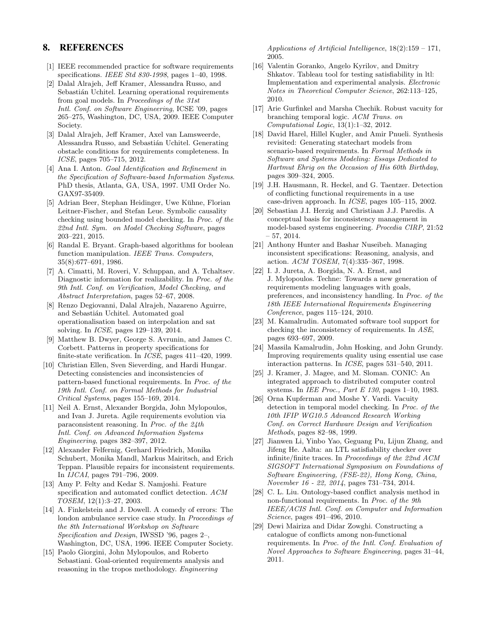## 8. REFERENCES

- [1] IEEE recommended practice for software requirements specifications. IEEE Std 830-1998, pages 1-40, 1998.
- [2] Dalal Alrajeh, Jeff Kramer, Alessandra Russo, and Sebastián Uchitel. Learning operational requirements from goal models. In Proceedings of the 31st Intl. Conf. on Software Engineering, ICSE '09, pages 265–275, Washington, DC, USA, 2009. IEEE Computer Society.
- [3] Dalal Alrajeh, Jeff Kramer, Axel van Lamsweerde, Alessandra Russo, and Sebastián Uchitel. Generating obstacle conditions for requirements completeness. In ICSE, pages 705–715, 2012.
- [4] Ana I. Anton. Goal Identification and Refinement in the Specification of Software-based Information Systems. PhD thesis, Atlanta, GA, USA, 1997. UMI Order No. GAX97-35409.
- [5] Adrian Beer, Stephan Heidinger, Uwe Kühne, Florian Leitner-Fischer, and Stefan Leue. Symbolic causality checking using bounded model checking. In Proc. of the 22nd Intl. Sym. on Model Checking Software, pages 203–221, 2015.
- [6] Randal E. Bryant. Graph-based algorithms for boolean function manipulation. IEEE Trans. Computers, 35(8):677–691, 1986.
- [7] A. Cimatti, M. Roveri, V. Schuppan, and A. Tchaltsev. Diagnostic information for realizability. In Proc. of the 9th Intl. Conf. on Verification, Model Checking, and Abstract Interpretation, pages 52–67, 2008.
- [8] Renzo Degiovanni, Dalal Alrajeh, Nazareno Aguirre, and Sebastián Uchitel. Automated goal operationalisation based on interpolation and sat solving. In ICSE, pages 129–139, 2014.
- [9] Matthew B. Dwyer, George S. Avrunin, and James C. Corbett. Patterns in property specifications for finite-state verification. In ICSE, pages 411–420, 1999.
- [10] Christian Ellen, Sven Sieverding, and Hardi Hungar. Detecting consistencies and inconsistencies of pattern-based functional requirements. In Proc. of the 19th Intl. Conf. on Formal Methods for Industrial Critical Systems, pages 155–169, 2014.
- [11] Neil A. Ernst, Alexander Borgida, John Mylopoulos, and Ivan J. Jureta. Agile requirements evolution via paraconsistent reasoning. In Proc. of the 24th Intl. Conf. on Advanced Information Systems Engineering, pages 382–397, 2012.
- [12] Alexander Felfernig, Gerhard Friedrich, Monika Schubert, Monika Mandl, Markus Mairitsch, and Erich Teppan. Plausible repairs for inconsistent requirements. In IJCAI, pages 791–796, 2009.
- [13] Amy P. Felty and Kedar S. Namjoshi. Feature specification and automated conflict detection. ACM TOSEM, 12(1):3–27, 2003.
- [14] A. Finkelstein and J. Dowell. A comedy of errors: The london ambulance service case study. In Proceedings of the 8th International Workshop on Software Specification and Design, IWSSD '96, pages 2–, Washington, DC, USA, 1996. IEEE Computer Society.
- [15] Paolo Giorgini, John Mylopoulos, and Roberto Sebastiani. Goal-oriented requirements analysis and reasoning in the tropos methodology. Engineering

Applications of Artificial Intelligence, 18(2):159 – 171, 2005.

- [16] Valentin Goranko, Angelo Kyrilov, and Dmitry Shkatov. Tableau tool for testing satisfiability in ltl: Implementation and experimental analysis. Electronic Notes in Theoretical Computer Science, 262:113–125, 2010.
- [17] Arie Gurfinkel and Marsha Chechik. Robust vacuity for branching temporal logic. ACM Trans. on Computational Logic, 13(1):1–32, 2012.
- [18] David Harel, Hillel Kugler, and Amir Pnueli. Synthesis revisited: Generating statechart models from scenario-based requirements. In Formal Methods in Software and Systems Modeling: Essays Dedicated to Hartmut Ehrig on the Occasion of His 60th Birthday, pages 309–324, 2005.
- [19] J.H. Hausmann, R. Heckel, and G. Taentzer. Detection of conflicting functional requirements in a use case-driven approach. In ICSE, pages 105–115, 2002.
- [20] Sebastian J.I. Herzig and Christiaan J.J. Paredis. A conceptual basis for inconsistency management in model-based systems engineering. Procedia CIRP, 21:52  $-57, 2014.$
- [21] Anthony Hunter and Bashar Nuseibeh. Managing inconsistent specifications: Reasoning, analysis, and action. ACM TOSEM, 7(4):335–367, 1998.
- [22] I. J. Jureta, A. Borgida, N. A. Ernst, and J. Mylopoulos. Techne: Towards a new generation of requirements modeling languages with goals, preferences, and inconsistency handling. In Proc. of the 18th IEEE International Requirements Engineering Conference, pages 115–124, 2010.
- [23] M. Kamalrudin. Automated software tool support for checking the inconsistency of requirements. In ASE, pages 693–697, 2009.
- [24] Massila Kamalrudin, John Hosking, and John Grundy. Improving requirements quality using essential use case interaction patterns. In ICSE, pages 531–540, 2011.
- [25] J. Kramer, J. Magee, and M. Sloman. CONIC: An integrated approach to distributed computer control systems. In IEE Proc., Part E 130, pages 1–10, 1983.
- [26] Orna Kupferman and Moshe Y. Vardi. Vacuity detection in temporal model checking. In Proc. of the 10th IFIP WG10.5 Advanced Research Working Conf. on Correct Hardware Design and Verification Methods, pages 82–98, 1999.
- [27] Jianwen Li, Yinbo Yao, Geguang Pu, Lijun Zhang, and Jifeng He. Aalta: an LTL satisfiability checker over infinite/finite traces. In Proceedings of the 22nd ACM SIGSOFT International Symposium on Foundations of Software Engineering, (FSE-22), Hong Kong, China, November 16 - 22, 2014, pages 731–734, 2014.
- [28] C. L. Liu. Ontology-based conflict analysis method in non-functional requirements. In Proc. of the 9th IEEE/ACIS Intl. Conf. on Computer and Information Science, pages 491–496, 2010.
- [29] Dewi Mairiza and Didar Zowghi. Constructing a catalogue of conflicts among non-functional requirements. In Proc. of the Intl. Conf. Evaluation of Novel Approaches to Software Engineering, pages 31–44, 2011.